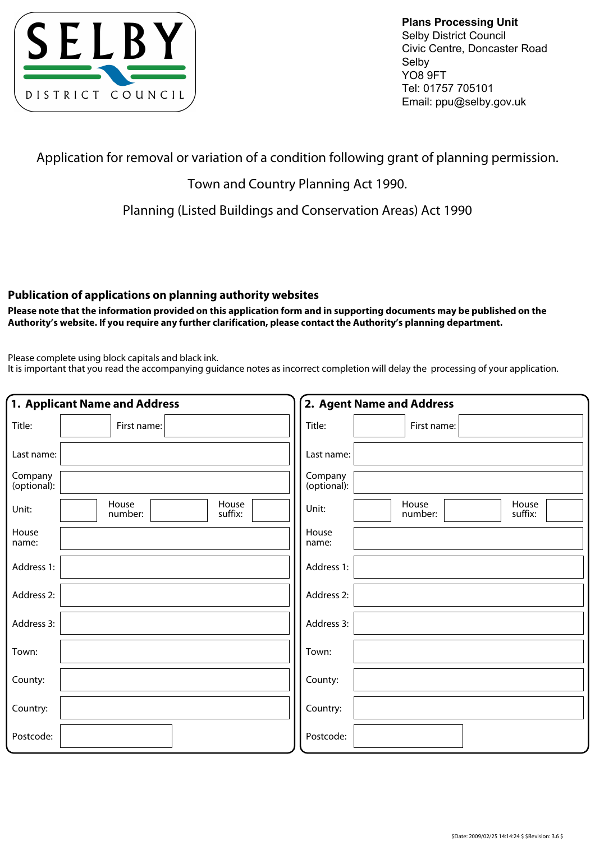

**Plans Processing Unit**  Selby District Council Civic Centre, Doncaster Road Selby YO8 9FT Tel: 01757 705101 Email: ppu@selby.gov.uk

Application for removal or variation of a condition following grant of planning permission.

## Town and Country Planning Act 1990.

Planning (Listed Buildings and Conservation Areas) Act 1990

## **Publication of applications on planning authority websites**

**Please note that the information provided on this application form and in supporting documents may be published on the Authority's website. If you require any further clarification, please contact the Authority's planning department.**

Please complete using block capitals and black ink.

It is important that you read the accompanying guidance notes as incorrect completion will delay the processing of your application.

|                        | 1. Applicant Name and Address        | 2. Agent Name and Address                     |
|------------------------|--------------------------------------|-----------------------------------------------|
| Title:                 | First name:                          | Title:<br>First name:                         |
| Last name:             |                                      | Last name:                                    |
| Company<br>(optional): |                                      | Company<br>(optional):                        |
| Unit:                  | House<br>House<br>suffix:<br>number: | House<br>House<br>Unit:<br>suffix:<br>number: |
| House<br>name:         |                                      | House<br>name:                                |
| Address 1:             |                                      | Address 1:                                    |
| Address 2:             |                                      | Address 2:                                    |
| Address 3:             |                                      | Address 3:                                    |
| Town:                  |                                      | Town:                                         |
| County:                |                                      | County:                                       |
| Country:               |                                      | Country:                                      |
| Postcode:              |                                      | Postcode:                                     |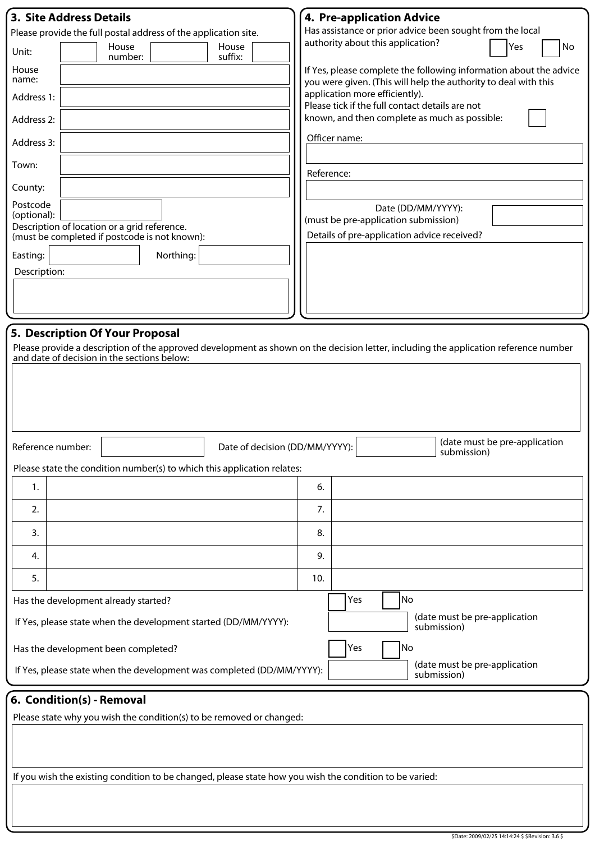| <b>3. Site Address Details</b>                                                                                                                                                                                         | <b>4. Pre-application Advice</b>                                                                                                      |  |  |  |
|------------------------------------------------------------------------------------------------------------------------------------------------------------------------------------------------------------------------|---------------------------------------------------------------------------------------------------------------------------------------|--|--|--|
| Please provide the full postal address of the application site.                                                                                                                                                        | Has assistance or prior advice been sought from the local                                                                             |  |  |  |
| House<br>House<br>Unit:<br>suffix:<br>number:                                                                                                                                                                          | authority about this application?<br>Yes<br>No                                                                                        |  |  |  |
| House<br>name:                                                                                                                                                                                                         | If Yes, please complete the following information about the advice<br>you were given. (This will help the authority to deal with this |  |  |  |
| Address 1:                                                                                                                                                                                                             | application more efficiently).<br>Please tick if the full contact details are not                                                     |  |  |  |
| Address 2:                                                                                                                                                                                                             | known, and then complete as much as possible:                                                                                         |  |  |  |
| Address 3:                                                                                                                                                                                                             | Officer name:                                                                                                                         |  |  |  |
| Town:                                                                                                                                                                                                                  | Reference:                                                                                                                            |  |  |  |
| County:                                                                                                                                                                                                                |                                                                                                                                       |  |  |  |
| Postcode<br>(optional):<br>Description of location or a grid reference.<br>(must be completed if postcode is not known):                                                                                               | Date (DD/MM/YYYY):<br>(must be pre-application submission)<br>Details of pre-application advice received?                             |  |  |  |
| Easting:<br>Northing:                                                                                                                                                                                                  |                                                                                                                                       |  |  |  |
| Description:                                                                                                                                                                                                           |                                                                                                                                       |  |  |  |
|                                                                                                                                                                                                                        |                                                                                                                                       |  |  |  |
|                                                                                                                                                                                                                        |                                                                                                                                       |  |  |  |
| 5. Description Of Your Proposal<br>Please provide a description of the approved development as shown on the decision letter, including the application reference number<br>and date of decision in the sections below: |                                                                                                                                       |  |  |  |
| Reference number:<br>Date of decision (DD/MM/YYYY):                                                                                                                                                                    | (date must be pre-application<br>submission)                                                                                          |  |  |  |
| Please state the condition number(s) to which this application relates:                                                                                                                                                |                                                                                                                                       |  |  |  |
| 1.                                                                                                                                                                                                                     | 6.                                                                                                                                    |  |  |  |
| 2.                                                                                                                                                                                                                     | 7.                                                                                                                                    |  |  |  |
| 3.                                                                                                                                                                                                                     | 8.                                                                                                                                    |  |  |  |
| 4.                                                                                                                                                                                                                     | 9.                                                                                                                                    |  |  |  |
| 5.                                                                                                                                                                                                                     | 10.                                                                                                                                   |  |  |  |
| Has the development already started?                                                                                                                                                                                   | No<br>Yes                                                                                                                             |  |  |  |
| If Yes, please state when the development started (DD/MM/YYYY):                                                                                                                                                        | (date must be pre-application<br>submission)                                                                                          |  |  |  |
| Has the development been completed?                                                                                                                                                                                    | No<br>Yes                                                                                                                             |  |  |  |
| If Yes, please state when the development was completed (DD/MM/YYYY):                                                                                                                                                  | (date must be pre-application<br>submission)                                                                                          |  |  |  |
| 6. Condition(s) - Removal                                                                                                                                                                                              |                                                                                                                                       |  |  |  |
| Please state why you wish the condition(s) to be removed or changed:                                                                                                                                                   |                                                                                                                                       |  |  |  |
| If you wish the existing condition to be changed, please state how you wish the condition to be varied:                                                                                                                |                                                                                                                                       |  |  |  |
|                                                                                                                                                                                                                        |                                                                                                                                       |  |  |  |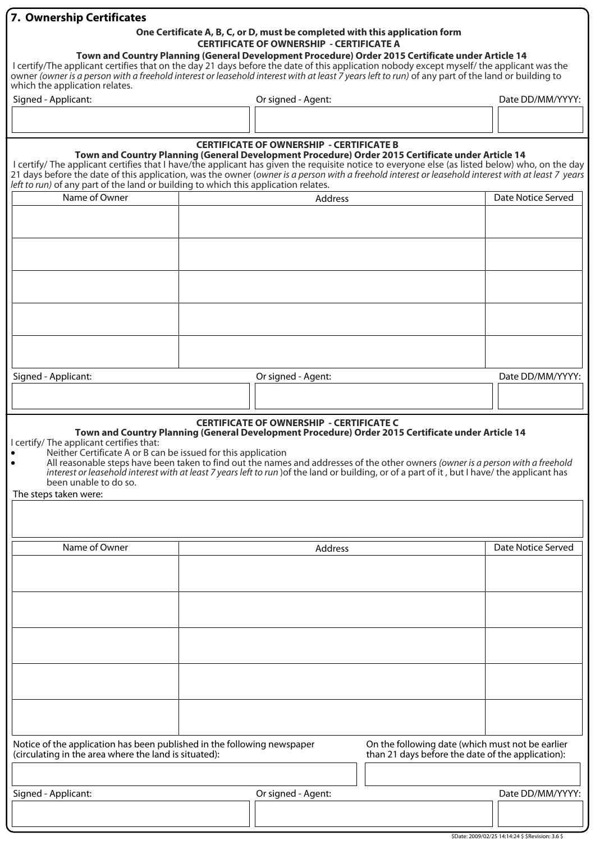| 7. Ownership Certificates                                                                                                                                                                                                                                                                                                                                                                                                                                                                                                                          |  |                                                 |                                                                                                       |                    |  |  |
|----------------------------------------------------------------------------------------------------------------------------------------------------------------------------------------------------------------------------------------------------------------------------------------------------------------------------------------------------------------------------------------------------------------------------------------------------------------------------------------------------------------------------------------------------|--|-------------------------------------------------|-------------------------------------------------------------------------------------------------------|--------------------|--|--|
| One Certificate A, B, C, or D, must be completed with this application form                                                                                                                                                                                                                                                                                                                                                                                                                                                                        |  |                                                 |                                                                                                       |                    |  |  |
|                                                                                                                                                                                                                                                                                                                                                                                                                                                                                                                                                    |  | <b>CERTIFICATE OF OWNERSHIP - CERTIFICATE A</b> |                                                                                                       |                    |  |  |
| Town and Country Planning (General Development Procedure) Order 2015 Certificate under Article 14<br>I certify/The applicant certifies that on the day 21 days before the date of this application nobody except myself/ the applicant was the                                                                                                                                                                                                                                                                                                     |  |                                                 |                                                                                                       |                    |  |  |
| owner (owner is a person with a freehold interest or leasehold interest with at least 7 years left to run) of any part of the land or building to                                                                                                                                                                                                                                                                                                                                                                                                  |  |                                                 |                                                                                                       |                    |  |  |
| which the application relates.                                                                                                                                                                                                                                                                                                                                                                                                                                                                                                                     |  |                                                 |                                                                                                       |                    |  |  |
| Signed - Applicant:                                                                                                                                                                                                                                                                                                                                                                                                                                                                                                                                |  | Or signed - Agent:                              |                                                                                                       | Date DD/MM/YYYY:   |  |  |
|                                                                                                                                                                                                                                                                                                                                                                                                                                                                                                                                                    |  |                                                 |                                                                                                       |                    |  |  |
|                                                                                                                                                                                                                                                                                                                                                                                                                                                                                                                                                    |  |                                                 |                                                                                                       |                    |  |  |
|                                                                                                                                                                                                                                                                                                                                                                                                                                                                                                                                                    |  | <b>CERTIFICATE OF OWNERSHIP - CERTIFICATE B</b> |                                                                                                       |                    |  |  |
|                                                                                                                                                                                                                                                                                                                                                                                                                                                                                                                                                    |  |                                                 | Town and Country Planning (General Development Procedure) Order 2015 Certificate under Article 14     |                    |  |  |
| I certify/ The applicant certifies that I have/the applicant has given the requisite notice to everyone else (as listed below) who, on the day                                                                                                                                                                                                                                                                                                                                                                                                     |  |                                                 |                                                                                                       |                    |  |  |
| 21 days before the date of this application, was the owner (owner is a person with a freehold interest or leasehold interest with at least 7 years<br>left to run) of any part of the land or building to which this application relates.                                                                                                                                                                                                                                                                                                          |  |                                                 |                                                                                                       |                    |  |  |
| Name of Owner                                                                                                                                                                                                                                                                                                                                                                                                                                                                                                                                      |  |                                                 |                                                                                                       | Date Notice Served |  |  |
|                                                                                                                                                                                                                                                                                                                                                                                                                                                                                                                                                    |  | Address                                         |                                                                                                       |                    |  |  |
|                                                                                                                                                                                                                                                                                                                                                                                                                                                                                                                                                    |  |                                                 |                                                                                                       |                    |  |  |
|                                                                                                                                                                                                                                                                                                                                                                                                                                                                                                                                                    |  |                                                 |                                                                                                       |                    |  |  |
|                                                                                                                                                                                                                                                                                                                                                                                                                                                                                                                                                    |  |                                                 |                                                                                                       |                    |  |  |
|                                                                                                                                                                                                                                                                                                                                                                                                                                                                                                                                                    |  |                                                 |                                                                                                       |                    |  |  |
|                                                                                                                                                                                                                                                                                                                                                                                                                                                                                                                                                    |  |                                                 |                                                                                                       |                    |  |  |
|                                                                                                                                                                                                                                                                                                                                                                                                                                                                                                                                                    |  |                                                 |                                                                                                       |                    |  |  |
|                                                                                                                                                                                                                                                                                                                                                                                                                                                                                                                                                    |  |                                                 |                                                                                                       |                    |  |  |
|                                                                                                                                                                                                                                                                                                                                                                                                                                                                                                                                                    |  |                                                 |                                                                                                       |                    |  |  |
|                                                                                                                                                                                                                                                                                                                                                                                                                                                                                                                                                    |  |                                                 |                                                                                                       |                    |  |  |
|                                                                                                                                                                                                                                                                                                                                                                                                                                                                                                                                                    |  |                                                 |                                                                                                       |                    |  |  |
|                                                                                                                                                                                                                                                                                                                                                                                                                                                                                                                                                    |  |                                                 |                                                                                                       |                    |  |  |
|                                                                                                                                                                                                                                                                                                                                                                                                                                                                                                                                                    |  |                                                 |                                                                                                       |                    |  |  |
| Signed - Applicant:                                                                                                                                                                                                                                                                                                                                                                                                                                                                                                                                |  | Or signed - Agent:                              |                                                                                                       | Date DD/MM/YYYY:   |  |  |
|                                                                                                                                                                                                                                                                                                                                                                                                                                                                                                                                                    |  |                                                 |                                                                                                       |                    |  |  |
|                                                                                                                                                                                                                                                                                                                                                                                                                                                                                                                                                    |  |                                                 |                                                                                                       |                    |  |  |
| Town and Country Planning (General Development Procedure) Order 2015 Certificate under Article 14<br>I certify/ The applicant certifies that:<br>Neither Certificate A or B can be issued for this application<br>All reasonable steps have been taken to find out the names and addresses of the other owners (owner is a person with a freehold<br>interest or leasehold interest with at least 7 years left to run) of the land or building, or of a part of it, but I have/the applicant has<br>been unable to do so.<br>The steps taken were: |  |                                                 |                                                                                                       |                    |  |  |
|                                                                                                                                                                                                                                                                                                                                                                                                                                                                                                                                                    |  |                                                 |                                                                                                       |                    |  |  |
| Name of Owner                                                                                                                                                                                                                                                                                                                                                                                                                                                                                                                                      |  | Address                                         |                                                                                                       | Date Notice Served |  |  |
|                                                                                                                                                                                                                                                                                                                                                                                                                                                                                                                                                    |  |                                                 |                                                                                                       |                    |  |  |
|                                                                                                                                                                                                                                                                                                                                                                                                                                                                                                                                                    |  |                                                 |                                                                                                       |                    |  |  |
|                                                                                                                                                                                                                                                                                                                                                                                                                                                                                                                                                    |  |                                                 |                                                                                                       |                    |  |  |
|                                                                                                                                                                                                                                                                                                                                                                                                                                                                                                                                                    |  |                                                 |                                                                                                       |                    |  |  |
|                                                                                                                                                                                                                                                                                                                                                                                                                                                                                                                                                    |  |                                                 |                                                                                                       |                    |  |  |
|                                                                                                                                                                                                                                                                                                                                                                                                                                                                                                                                                    |  |                                                 |                                                                                                       |                    |  |  |
|                                                                                                                                                                                                                                                                                                                                                                                                                                                                                                                                                    |  |                                                 |                                                                                                       |                    |  |  |
|                                                                                                                                                                                                                                                                                                                                                                                                                                                                                                                                                    |  |                                                 |                                                                                                       |                    |  |  |
|                                                                                                                                                                                                                                                                                                                                                                                                                                                                                                                                                    |  |                                                 |                                                                                                       |                    |  |  |
|                                                                                                                                                                                                                                                                                                                                                                                                                                                                                                                                                    |  |                                                 |                                                                                                       |                    |  |  |
|                                                                                                                                                                                                                                                                                                                                                                                                                                                                                                                                                    |  |                                                 |                                                                                                       |                    |  |  |
|                                                                                                                                                                                                                                                                                                                                                                                                                                                                                                                                                    |  |                                                 |                                                                                                       |                    |  |  |
|                                                                                                                                                                                                                                                                                                                                                                                                                                                                                                                                                    |  |                                                 |                                                                                                       |                    |  |  |
|                                                                                                                                                                                                                                                                                                                                                                                                                                                                                                                                                    |  |                                                 |                                                                                                       |                    |  |  |
| Notice of the application has been published in the following newspaper<br>(circulating in the area where the land is situated):                                                                                                                                                                                                                                                                                                                                                                                                                   |  |                                                 | On the following date (which must not be earlier<br>than 21 days before the date of the application): |                    |  |  |
|                                                                                                                                                                                                                                                                                                                                                                                                                                                                                                                                                    |  |                                                 |                                                                                                       |                    |  |  |
|                                                                                                                                                                                                                                                                                                                                                                                                                                                                                                                                                    |  |                                                 |                                                                                                       |                    |  |  |
| Signed - Applicant:                                                                                                                                                                                                                                                                                                                                                                                                                                                                                                                                |  | Or signed - Agent:                              |                                                                                                       | Date DD/MM/YYYY:   |  |  |
|                                                                                                                                                                                                                                                                                                                                                                                                                                                                                                                                                    |  |                                                 |                                                                                                       |                    |  |  |
|                                                                                                                                                                                                                                                                                                                                                                                                                                                                                                                                                    |  |                                                 |                                                                                                       |                    |  |  |
|                                                                                                                                                                                                                                                                                                                                                                                                                                                                                                                                                    |  |                                                 |                                                                                                       |                    |  |  |

\$Date: 2009/02/25 14:14:24 \$ \$Revision: 3.6 \$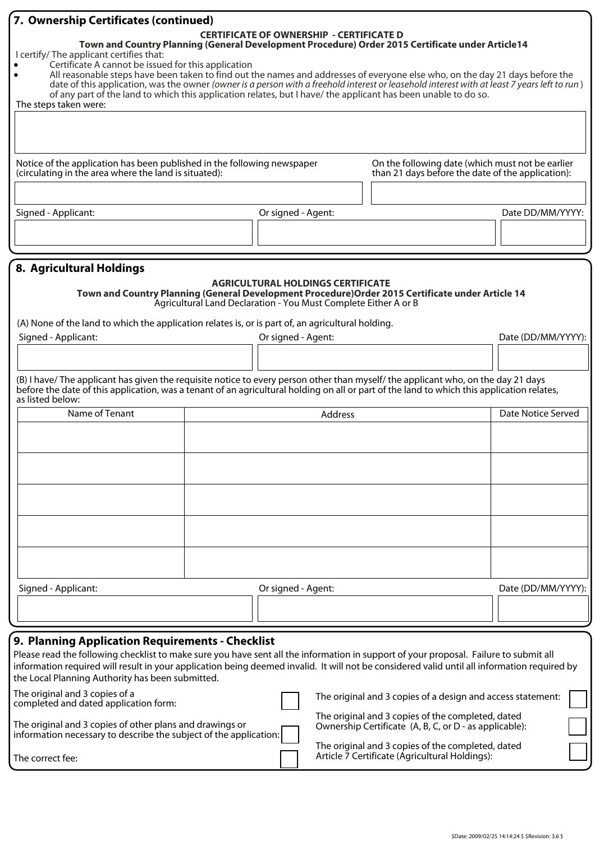| 7. Ownership Certificates (continued)                                                                                                                                                                                                                                                                                                                                                                                                                                                                                      |  |                                                                                                             |                                                                                                       |                    |
|----------------------------------------------------------------------------------------------------------------------------------------------------------------------------------------------------------------------------------------------------------------------------------------------------------------------------------------------------------------------------------------------------------------------------------------------------------------------------------------------------------------------------|--|-------------------------------------------------------------------------------------------------------------|-------------------------------------------------------------------------------------------------------|--------------------|
| I certify/ The applicant certifies that:<br>Certificate A cannot be issued for this application<br>All reasonable steps have been taken to find out the names and addresses of everyone else who, on the day 21 days before the<br>date of this application, was the owner (owner is a person with a freehold interest or leasehold interest with at least 7 years left to run)<br>of any part of the land to which this application relates, but I have/ the applicant has been unable to do so.<br>The steps taken were: |  | <b>CERTIFICATE OF OWNERSHIP - CERTIFICATE D</b>                                                             | Town and Country Planning (General Development Procedure) Order 2015 Certificate under Article14      |                    |
|                                                                                                                                                                                                                                                                                                                                                                                                                                                                                                                            |  |                                                                                                             |                                                                                                       |                    |
| Notice of the application has been published in the following newspaper<br>(circulating in the area where the land is situated):                                                                                                                                                                                                                                                                                                                                                                                           |  |                                                                                                             | On the following date (which must not be earlier<br>than 21 days before the date of the application): |                    |
|                                                                                                                                                                                                                                                                                                                                                                                                                                                                                                                            |  |                                                                                                             |                                                                                                       |                    |
| Signed - Applicant:                                                                                                                                                                                                                                                                                                                                                                                                                                                                                                        |  | Or signed - Agent:                                                                                          |                                                                                                       | Date DD/MM/YYYY:   |
|                                                                                                                                                                                                                                                                                                                                                                                                                                                                                                                            |  |                                                                                                             |                                                                                                       |                    |
| 8. Agricultural Holdings                                                                                                                                                                                                                                                                                                                                                                                                                                                                                                   |  |                                                                                                             |                                                                                                       |                    |
|                                                                                                                                                                                                                                                                                                                                                                                                                                                                                                                            |  | <b>AGRICULTURAL HOLDINGS CERTIFICATE</b><br>Agricultural Land Declaration - You Must Complete Either A or B | Town and Country Planning (General Development Procedure) Order 2015 Certificate under Article 14     |                    |
| (A) None of the land to which the application relates is, or is part of, an agricultural holding.<br>Signed - Applicant:                                                                                                                                                                                                                                                                                                                                                                                                   |  | Or signed - Agent:                                                                                          |                                                                                                       | Date (DD/MM/YYYY): |
|                                                                                                                                                                                                                                                                                                                                                                                                                                                                                                                            |  |                                                                                                             |                                                                                                       |                    |
| (B) I have/The applicant has given the requisite notice to every person other than myself/the applicant who, on the day 21 days<br>before the date of this application, was a tenant of an agricultural holding on all or part of the land to which this application relates,<br>as listed below:                                                                                                                                                                                                                          |  |                                                                                                             |                                                                                                       |                    |
| Name of Tenant                                                                                                                                                                                                                                                                                                                                                                                                                                                                                                             |  | Address                                                                                                     |                                                                                                       | Date Notice Served |
|                                                                                                                                                                                                                                                                                                                                                                                                                                                                                                                            |  |                                                                                                             |                                                                                                       |                    |
|                                                                                                                                                                                                                                                                                                                                                                                                                                                                                                                            |  |                                                                                                             |                                                                                                       |                    |
|                                                                                                                                                                                                                                                                                                                                                                                                                                                                                                                            |  |                                                                                                             |                                                                                                       |                    |
|                                                                                                                                                                                                                                                                                                                                                                                                                                                                                                                            |  |                                                                                                             |                                                                                                       |                    |
|                                                                                                                                                                                                                                                                                                                                                                                                                                                                                                                            |  |                                                                                                             |                                                                                                       |                    |
| Signed - Applicant:                                                                                                                                                                                                                                                                                                                                                                                                                                                                                                        |  | Or signed - Agent:                                                                                          |                                                                                                       | Date (DD/MM/YYYY): |
|                                                                                                                                                                                                                                                                                                                                                                                                                                                                                                                            |  |                                                                                                             |                                                                                                       |                    |
| 9. Planning Application Requirements - Checklist                                                                                                                                                                                                                                                                                                                                                                                                                                                                           |  |                                                                                                             |                                                                                                       |                    |
| Please read the following checklist to make sure you have sent all the information in support of your proposal. Failure to submit all<br>information required will result in your application being deemed invalid. It will not be considered valid until all information required by                                                                                                                                                                                                                                      |  |                                                                                                             |                                                                                                       |                    |
| the Local Planning Authority has been submitted.                                                                                                                                                                                                                                                                                                                                                                                                                                                                           |  |                                                                                                             |                                                                                                       |                    |

| The original and 3 copies of a<br>completed and dated application form:                                                       | The original and 3 copies of a design and access statement:                                                 |  |
|-------------------------------------------------------------------------------------------------------------------------------|-------------------------------------------------------------------------------------------------------------|--|
| The original and 3 copies of other plans and drawings or<br>information necessary to describe the subject of the application: | The original and 3 copies of the completed, dated<br>Ownership Certificate (A, B, C, or D - as applicable): |  |
| The correct fee:                                                                                                              | The original and 3 copies of the completed, dated<br>Article 7 Certificate (Agricultural Holdings):         |  |